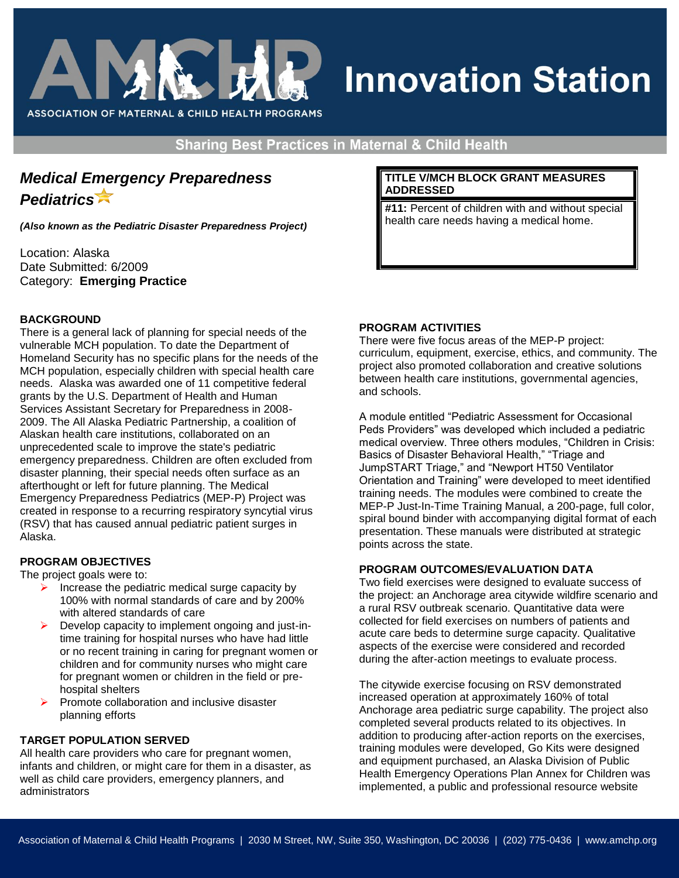

# **Innovation Station**

**Sharing Best Practices in Maternal & Child Health** 

# *Medical Emergency Preparedness Pediatrics*

*(Also known as the Pediatric Disaster Preparedness Project)*

Location: Alaska Date Submitted: 6/2009 Category: **Emerging Practice**

# **BACKGROUND**

There is a general lack of planning for special needs of the vulnerable MCH population. To date the Department of Homeland Security has no specific plans for the needs of the MCH population, especially children with special health care needs. Alaska was awarded one of 11 competitive federal grants by the U.S. Department of Health and Human Services Assistant Secretary for Preparedness in 2008- 2009. The All Alaska Pediatric Partnership, a coalition of Alaskan health care institutions, collaborated on an unprecedented scale to improve the state's pediatric emergency preparedness. Children are often excluded from disaster planning, their special needs often surface as an afterthought or left for future planning. The Medical Emergency Preparedness Pediatrics (MEP-P) Project was created in response to a recurring respiratory syncytial virus (RSV) that has caused annual pediatric patient surges in Alaska.

# **PROGRAM OBJECTIVES**

The project goals were to:

- Increase the pediatric medical surge capacity by 100% with normal standards of care and by 200% with altered standards of care
- $\triangleright$  Develop capacity to implement ongoing and just-intime training for hospital nurses who have had little or no recent training in caring for pregnant women or children and for community nurses who might care for pregnant women or children in the field or prehospital shelters
- $\triangleright$  Promote collaboration and inclusive disaster planning efforts

# **TARGET POPULATION SERVED**

All health care providers who care for pregnant women, infants and children, or might care for them in a disaster, as well as child care providers, emergency planners, and administrators

#### **TITLE V/MCH BLOCK GRANT MEASURES ADDRESSED**

**#11:** Percent of children with and without special health care needs having a medical home.

# **PROGRAM ACTIVITIES**

There were five focus areas of the MEP-P project: curriculum, equipment, exercise, ethics, and community. The project also promoted collaboration and creative solutions between health care institutions, governmental agencies, and schools.

A module entitled "Pediatric Assessment for Occasional Peds Providers" was developed which included a pediatric medical overview. Three others modules, "Children in Crisis: Basics of Disaster Behavioral Health," "Triage and JumpSTART Triage," and "Newport HT50 Ventilator Orientation and Training" were developed to meet identified training needs. The modules were combined to create the MEP-P Just-In-Time Training Manual, a 200-page, full color, spiral bound binder with accompanying digital format of each presentation. These manuals were distributed at strategic points across the state.

# **PROGRAM OUTCOMES/EVALUATION DATA**

Two field exercises were designed to evaluate success of the project: an Anchorage area citywide wildfire scenario and a rural RSV outbreak scenario. Quantitative data were collected for field exercises on numbers of patients and acute care beds to determine surge capacity. Qualitative aspects of the exercise were considered and recorded during the after-action meetings to evaluate process.

The citywide exercise focusing on RSV demonstrated increased operation at approximately 160% of total Anchorage area pediatric surge capability. The project also completed several products related to its objectives. In addition to producing after-action reports on the exercises, training modules were developed, Go Kits were designed and equipment purchased, an Alaska Division of Public Health Emergency Operations Plan Annex for Children was implemented, a public and professional resource website